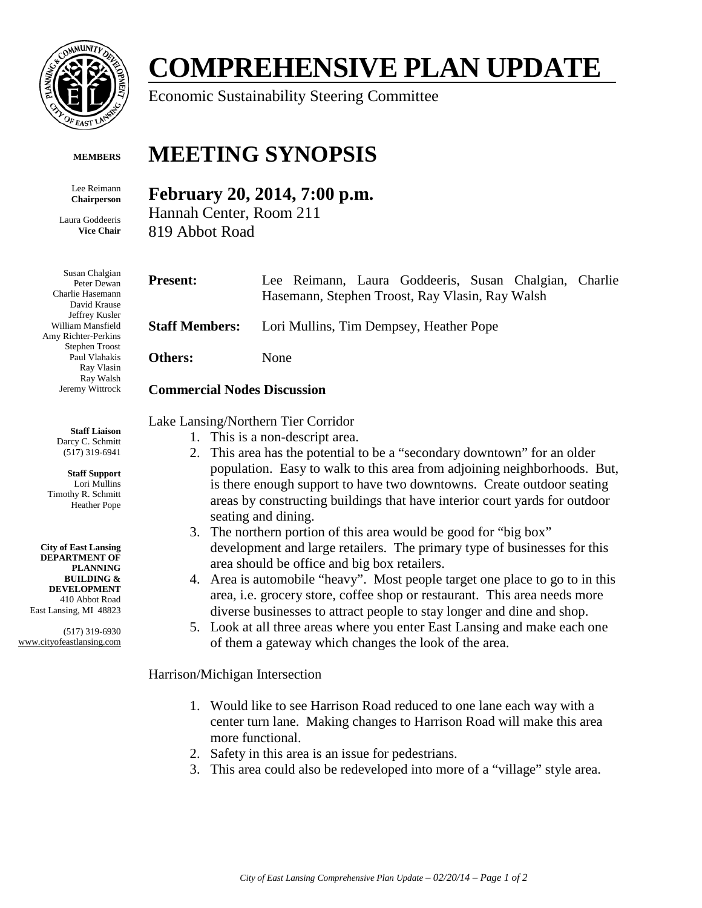

## **COMPREHENSIVE PLAN UPDATE**

Economic Sustainability Steering Committee

**MEETING SYNOPSIS**

**February 20, 2014, 7:00 p.m.**

Hannah Center, Room 211

819 Abbot Road

#### **MEMBERS**

Lee Reimann **Chairperson**

Laura Goddeeris **Vice Chair**

Susan Chalgian Peter Dewan Charlie Hasemann David Krause Jeffrey Kusler William Mansfield Amy Richter-Perkins Stephen Troost Paul Vlahakis Ray Vlasin Ray Walsh Jeremy Wittrock

> **Staff Liaison** Darcy C. Schmitt (517) 319-6941

**Staff Support** Lori Mullins Timothy R. Schmitt Heather Pope

**City of East Lansing DEPARTMENT OF PLANNING BUILDING & DEVELOPMENT** 410 Abbot Road East Lansing, MI 48823

(517) 319-6930 www.cityofeastlansing.com

### **Present:** Lee Reimann, Laura Goddeeris, Susan Chalgian, Charlie Hasemann, Stephen Troost, Ray Vlasin, Ray Walsh **Staff Members:** Lori Mullins, Tim Dempsey, Heather Pope **Others:** None

### **Commercial Nodes Discussion**

Lake Lansing/Northern Tier Corridor

- 1. This is a non-descript area.
- 2. This area has the potential to be a "secondary downtown" for an older population. Easy to walk to this area from adjoining neighborhoods. But, is there enough support to have two downtowns. Create outdoor seating areas by constructing buildings that have interior court yards for outdoor seating and dining.
- 3. The northern portion of this area would be good for "big box" development and large retailers. The primary type of businesses for this area should be office and big box retailers.
- 4. Area is automobile "heavy". Most people target one place to go to in this area, i.e. grocery store, coffee shop or restaurant. This area needs more diverse businesses to attract people to stay longer and dine and shop.
- 5. Look at all three areas where you enter East Lansing and make each one of them a gateway which changes the look of the area.

#### Harrison/Michigan Intersection

- 1. Would like to see Harrison Road reduced to one lane each way with a center turn lane. Making changes to Harrison Road will make this area more functional.
- 2. Safety in this area is an issue for pedestrians.
- 3. This area could also be redeveloped into more of a "village" style area.